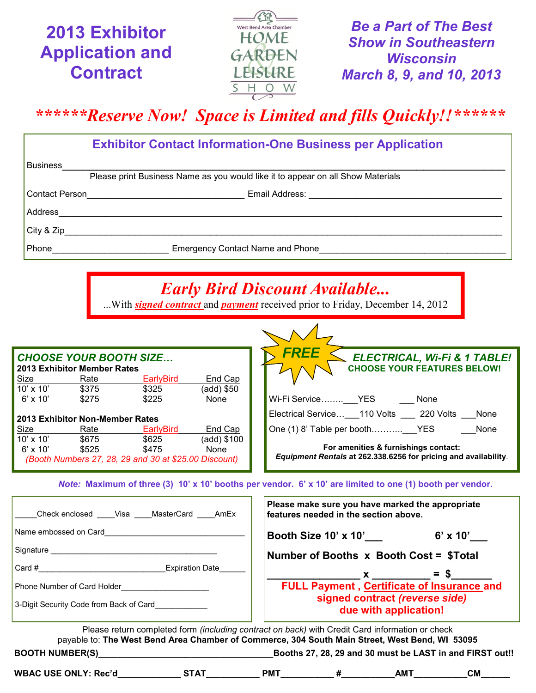**2013 Exhibitor Application and Contract**



*Be a Part of The Best Show in Southeastern Wisconsin March 8, 9, and 10, 2013*

*\*\*\*\*\*\*Reserve Now! Space is Limited and fills Quickly!!\*\*\*\*\*\**

| <b>Exhibitor Contact Information-One Business per Application</b>               |                                                                          |  |  |  |  |
|---------------------------------------------------------------------------------|--------------------------------------------------------------------------|--|--|--|--|
| <b>Business</b>                                                                 |                                                                          |  |  |  |  |
| Please print Business Name as you would like it to appear on all Show Materials |                                                                          |  |  |  |  |
| Contact Person                                                                  |                                                                          |  |  |  |  |
| Address                                                                         |                                                                          |  |  |  |  |
| City & Zip                                                                      |                                                                          |  |  |  |  |
| Phone                                                                           | Emergency Contact Name and Phone <b>Emergency</b> Contact Name and Phone |  |  |  |  |
|                                                                                 |                                                                          |  |  |  |  |

## *Early Bird Discount Available...*

...With *signed contract* and *payment* received prior to Friday, December 14, 2012

 $\sim$   $\sim$   $\Lambda$ 

| <b>CHOOSE YOUR BOOTH SIZE</b> |                                 |                                                       |             | FREE<br>ELECTRICAL, Wi-Fi & 1 TABLE!                                                                     |
|-------------------------------|---------------------------------|-------------------------------------------------------|-------------|----------------------------------------------------------------------------------------------------------|
|                               | 2013 Exhibitor Member Rates     |                                                       |             | <b>CHOOSE YOUR FEATURES BELOW!</b>                                                                       |
| Size                          | Rate                            | <b>EarlyBird</b>                                      | End Cap     |                                                                                                          |
| $10' \times 10'$              | \$375                           | \$325                                                 | (add) \$50  |                                                                                                          |
| $6'$ x 10'                    | \$275                           | \$225                                                 | None        | Wi-Fi Service___YES<br>None                                                                              |
|                               | 2013 Exhibitor Non-Member Rates |                                                       |             | Electrical Service ___ 110 Volts _____ 220 Volts ___<br>None                                             |
| Size                          | Rate                            | <b>EarlyBird</b>                                      | End Cap     | None                                                                                                     |
| $10' \times 10'$              | \$675                           | \$625                                                 | (add) \$100 |                                                                                                          |
| $6' \times 10'$               | \$525                           | \$475                                                 | None        | For amenities & furnishings contact:                                                                     |
|                               |                                 | (Booth Numbers 27, 28, 29 and 30 at \$25.00 Discount) |             | Equipment Rentals at 262.338.6256 for pricing and availability.                                          |
|                               |                                 |                                                       |             |                                                                                                          |
|                               |                                 |                                                       |             | Note: Maximum of three (3) 10' x 10' booths ner vendor. 6' x 10' are limited to one (1) booth ner vendor |

*Note:* **Maximum of three (3) 10' x 10' booths per vendor. 6' x 10' are limited to one (1) booth per vendor.**

| Check enclosed Visa MasterCard AmEx     | Please make sure you have marked the appropriate<br>features needed in the section above.                                                                                                                |
|-----------------------------------------|----------------------------------------------------------------------------------------------------------------------------------------------------------------------------------------------------------|
| Name embossed on Card                   | Booth Size 10' x 10'<br>$6'$ x 10'                                                                                                                                                                       |
|                                         | Number of Booths x Booth Cost = \$Total                                                                                                                                                                  |
| $Card \#$<br><b>Expiration Date</b>     | $x = $$                                                                                                                                                                                                  |
| Phone Number of Card Holder             | FULL Payment, Certificate of Insurance and                                                                                                                                                               |
| 3-Digit Security Code from Back of Card | signed contract (reverse side)<br>due with application!                                                                                                                                                  |
|                                         | Please return completed form <i>(including contract on back)</i> with Credit Card information or check<br>payable to: The West Bend Area Chamber of Commerce, 304 South Main Street, West Bend, WI 53095 |

**BOOTH NUMBER(S)\_\_\_\_\_\_\_\_\_\_\_\_\_\_\_\_\_\_\_\_\_\_\_\_\_\_\_\_\_\_\_\_\_\_\_\_Booths 27, 28, 29 and 30 must be LAST in and FIRST out!!**

**WBAC USE ONLY: Rec'd\_\_\_\_\_\_\_\_\_\_\_\_\_ STAT\_\_\_\_\_\_\_\_\_\_\_ PMT\_\_\_\_\_\_\_\_\_\_\_ #\_\_\_\_\_\_\_\_\_\_\_AMT\_\_\_\_\_\_\_\_\_\_\_CM\_\_\_\_\_\_**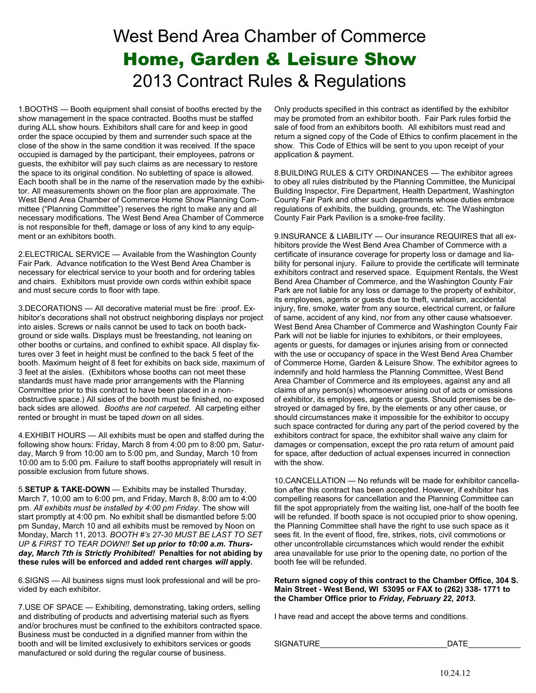## West Bend Area Chamber of Commerce Home, Garden & Leisure Show 2013 Contract Rules & Regulations

1.BOOTHS — Booth equipment shall consist of booths erected by the show management in the space contracted. Booths must be staffed during ALL show hours. Exhibitors shall care for and keep in good order the space occupied by them and surrender such space at the close of the show in the same condition it was received. If the space occupied is damaged by the participant, their employees, patrons or guests, the exhibitor will pay such claims as are necessary to restore the space to its original condition. No subletting of space is allowed. Each booth shall be in the name of the reservation made by the exhibitor. All measurements shown on the floor plan are approximate. The West Bend Area Chamber of Commerce Home Show Planning Committee ("Planning Committee") reserves the right to make any and all necessary modifications. The West Bend Area Chamber of Commerce is not responsible for theft, damage or loss of any kind to any equipment or an exhibitors booth.

2.ELECTRICAL SERVICE — Available from the Washington County Fair Park. Advance notification to the West Bend Area Chamber is necessary for electrical service to your booth and for ordering tables and chairs. Exhibitors must provide own cords within exhibit space and must secure cords to floor with tape.

3.DECORATIONS — All decorative material must be fire□proof. Exhibitor's decorations shall not obstruct neighboring displays nor project into aisles. Screws or nails cannot be used to tack on booth background or side walls. Displays must be freestanding, not leaning on other booths or curtains, and confined to exhibit space. All display fixtures over 3 feet in height must be confined to the back 5 feet of the booth. Maximum height of 8 feet for exhibits on back side, maximum of 3 feet at the aisles. (Exhibitors whose booths can not meet these standards must have made prior arrangements with the Planning Committee prior to this contract to have been placed in a nonobstructive space.) All sides of the booth must be finished, no exposed back sides are allowed. *Booths are not carpeted*. All carpeting either rented or brought in must be taped *down* on all sides.

4.EXHIBIT HOURS — All exhibits must be open and staffed during the following show hours: Friday, March 8 from 4:00 pm to 8:00 pm, Saturday, March 9 from 10:00 am to 5:00 pm, and Sunday, March 10 from 10:00 am to 5:00 pm. Failure to staff booths appropriately will result in possible exclusion from future shows.

5.**SETUP & TAKE-DOWN** — Exhibits may be installed Thursday, March 7, 10:00 am to 6:00 pm, and Friday, March 8, 8:00 am to 4:00 pm. *All exhibits must be installed by 4:00 pm Friday*. The show will start promptly at 4:00 pm. No exhibit shall be dismantled before 5:00 pm Sunday, March 10 and all exhibits must be removed by Noon on Monday, March 11, 2013. *BOOTH #'s 27-30 MUST BE LAST TO SET UP & FIRST TO TEAR DOWN!! Set up prior to 10:00 a.m. Thursday, March 7th is Strictly Prohibited!* **Penalties for not abiding by these rules will be enforced and added rent charges** *will* **apply.** 

6.SIGNS — All business signs must look professional and will be provided by each exhibitor.

7.USE OF SPACE — Exhibiting, demonstrating, taking orders, selling and distributing of products and advertising material such as flyers and/or brochures must be confined to the exhibitors contracted space. Business must be conducted in a dignified manner from within the booth and will be limited exclusively to exhibitors services or goods manufactured or sold during the regular course of business.

Only products specified in this contract as identified by the exhibitor may be promoted from an exhibitor booth. Fair Park rules forbid the sale of food from an exhibitors booth. All exhibitors must read and return a signed copy of the Code of Ethics to confirm placement in the show. This Code of Ethics will be sent to you upon receipt of your application & payment.

8.BUILDING RULES & CITY ORDINANCES — The exhibitor agrees to obey all rules distributed by the Planning Committee, the Municipal Building Inspector, Fire Department, Health Department, Washington County Fair Park and other such departments whose duties embrace regulations of exhibits, the building, grounds, etc. The Washington County Fair Park Pavilion is a smoke-free facility.

9.INSURANCE & LIABILITY — Our insurance REQUIRES that all exhibitors provide the West Bend Area Chamber of Commerce with a certificate of insurance coverage for property loss or damage and liability for personal injury. Failure to provide the certificate will terminate exhibitors contract and reserved space. Equipment Rentals, the West Bend Area Chamber of Commerce, and the Washington County Fair Park are not liable for any loss or damage to the property of exhibitor, its employees, agents or guests due to theft, vandalism, accidental injury, fire, smoke, water from any source, electrical current, or failure of same, accident of any kind, nor from any other cause whatsoever. West Bend Area Chamber of Commerce and Washington County Fair Park will not be liable for injuries to exhibitors, or their employees, agents or guests, for damages or injuries arising from or connected with the use or occupancy of space in the West Bend Area Chamber of Commerce Home, Garden & Leisure Show. The exhibitor agrees to indemnify and hold harmless the Planning Committee, West Bend Area Chamber of Commerce and its employees, against any and all claims of any person(s) whomsoever arising out of acts or omissions of exhibitor, its employees, agents or guests. Should premises be destroyed or damaged by fire, by the elements or any other cause, or should circumstances make it impossible for the exhibitor to occupy such space contracted for during any part of the period covered by the exhibitors contract for space, the exhibitor shall waive any claim for damages or compensation, except the pro rata return of amount paid for space, after deduction of actual expenses incurred in connection with the show.

10.CANCELLATION — No refunds will be made for exhibitor cancellation after this contract has been accepted. However, if exhibitor has compelling reasons for cancellation and the Planning Committee can fill the spot appropriately from the waiting list, one-half of the booth fee will be refunded. If booth space is not occupied prior to show opening, the Planning Committee shall have the right to use such space as it sees fit. In the event of flood, fire, strikes, riots, civil commotions or other uncontrollable circumstances which would render the exhibit area unavailable for use prior to the opening date, no portion of the booth fee will be refunded.

**Return signed copy of this contract to the Chamber Office, 304 S. Main Street - West Bend, WI 53095 or FAX to (262) 338- 1771 to the Chamber Office prior to** *Friday, February 22, 2013***.** 

I have read and accept the above terms and conditions.

SIGNATURE DATE